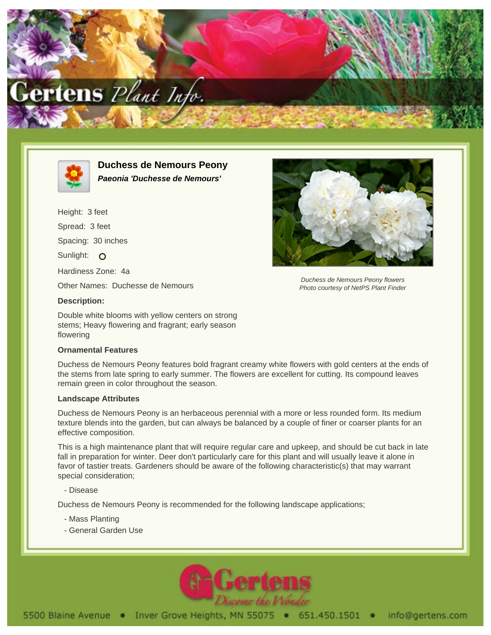



**Duchess de Nemours Peony Paeonia 'Duchesse de Nemours'**

Height: 3 feet Spread: 3 feet Spacing: 30 inches Sunlight: O Hardiness Zone: 4a Other Names: Duchesse de Nemours **Description:**

Double white blooms with yellow centers on strong stems; Heavy flowering and fragrant; early season flowering

## **Ornamental Features**

Duchess de Nemours Peony features bold fragrant creamy white flowers with gold centers at the ends of the stems from late spring to early summer. The flowers are excellent for cutting. Its compound leaves remain green in color throughout the season.

## **Landscape Attributes**

Duchess de Nemours Peony is an herbaceous perennial with a more or less rounded form. Its medium texture blends into the garden, but can always be balanced by a couple of finer or coarser plants for an effective composition.

This is a high maintenance plant that will require regular care and upkeep, and should be cut back in late fall in preparation for winter. Deer don't particularly care for this plant and will usually leave it alone in favor of tastier treats. Gardeners should be aware of the following characteristic(s) that may warrant special consideration;

- Disease

Duchess de Nemours Peony is recommended for the following landscape applications;

- Mass Planting
- General Garden Use





Duchess de Nemours Peony flowers Photo courtesy of NetPS Plant Finder